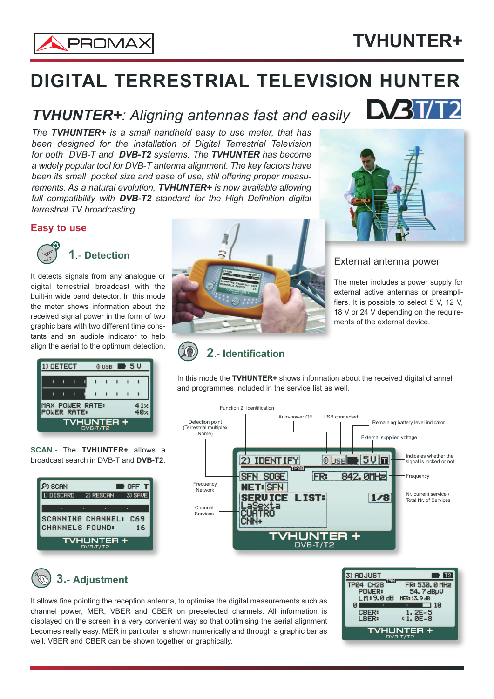

# **DIGITAL TERRESTRIAL TELEVISION HUNTER**

### *TVHUNTER+: Aligning antennas fast and easily*

*The TVHUNTER+ is a small handheld easy to use meter, that has been designed for the installation of Digital Terrestrial Television for both DVB-T and DVB-T2 systems. The TVHUNTER has become a widely popular tool for DVB-T antenna alignment. The key factors have been its small pocket size and ease of use, still offering proper measurements. As a natural evolution, TVHUNTER+ is now available allowing full compatibility with DVB-T2 standard for the High Definition digital terrestrial TV broadcasting.*

#### **Easy to use**



**1**.- **Detection**

It detects signals from any analogue or digital terrestrial broadcast with the built-in wide band detector. In this mode the meter shows information about the received signal power in the form of two graphic bars with two different time constants and an audible indicator to help align the aerial to the optimum detection.

| <b>1) DETECT</b>         |                                              |   |  |  | $0 \text{ } \cup$ SB $\blacksquare$ 5 V |  |  |  |
|--------------------------|----------------------------------------------|---|--|--|-----------------------------------------|--|--|--|
|                          |                                              |   |  |  |                                         |  |  |  |
|                          |                                              | п |  |  |                                         |  |  |  |
|                          | MAX POWER RATE:<br>41x<br>POWER RATE:<br>40v |   |  |  |                                         |  |  |  |
| TVHUNTER +<br>$DYB-T/T2$ |                                              |   |  |  |                                         |  |  |  |

**SCAN.-** The **TVHUNTER+** allows a broadcast search in DVB-T and **DVB-T2**.

| 9) SCAN                         |           | OFF 1   |  |  |
|---------------------------------|-----------|---------|--|--|
| 1) DISCARD                      | 2) RESCAN | 3) SAVE |  |  |
|                                 | ٠         |         |  |  |
| SCANNING CHANNEL:               |           | C69     |  |  |
| CHANNELS FOUND:                 |           | 16      |  |  |
| <b>TVHUNTER +</b><br>$DYB-T/T2$ |           |         |  |  |





### External antenna power

The meter includes a power supply for external active antennas or preamplifiers. It is possible to select 5 V, 12 V, 18 V or 24 V depending on the requirements of the external device.

## **2**.- **Identification**

In this mode the **TVHUNTER+** shows information about the received digital channel and programmes included in the service list as well.



### **3.**- **Adjustment**

It allows fine pointing the reception antenna, to optimise the digital measurements such as channel power, MER, VBER and CBER on preselected channels. All information is displayed on the screen in a very convenient way so that optimising the aerial alignment becomes really easy. MER in particular is shown numerically and through a graphic bar as well. VBER and CBER can be shown together or graphically.



# **TVHUNTER+**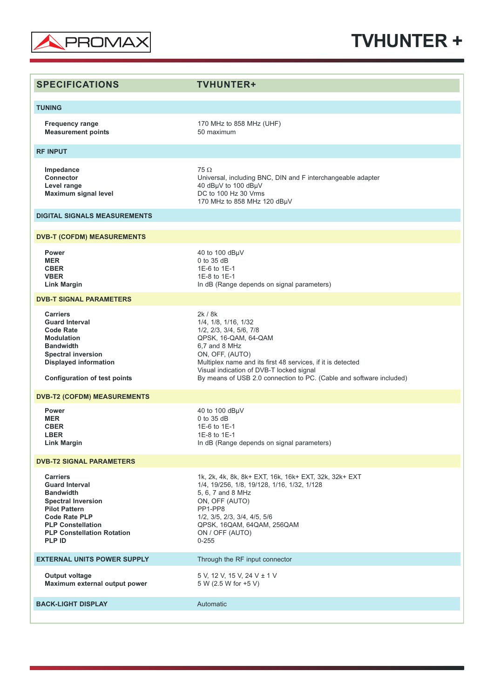

## **TVHUNTER +**

| <b>SPECIFICATIONS</b>                                                                                                                                                                                                       | <b>TVHUNTER+</b>                                                                                                                                                                                                                                                                                         |
|-----------------------------------------------------------------------------------------------------------------------------------------------------------------------------------------------------------------------------|----------------------------------------------------------------------------------------------------------------------------------------------------------------------------------------------------------------------------------------------------------------------------------------------------------|
| <b>TUNING</b>                                                                                                                                                                                                               |                                                                                                                                                                                                                                                                                                          |
| <b>Frequency range</b><br><b>Measurement points</b>                                                                                                                                                                         | 170 MHz to 858 MHz (UHF)<br>50 maximum                                                                                                                                                                                                                                                                   |
| <b>RF INPUT</b>                                                                                                                                                                                                             |                                                                                                                                                                                                                                                                                                          |
| Impedance<br><b>Connector</b><br>Level range<br><b>Maximum signal level</b>                                                                                                                                                 | $75 \Omega$<br>Universal, including BNC, DIN and F interchangeable adapter<br>40 dBµV to 100 dBµV<br>DC to 100 Hz 30 Vrms<br>170 MHz to 858 MHz 120 dBµV                                                                                                                                                 |
| <b>DIGITAL SIGNALS MEASUREMENTS</b>                                                                                                                                                                                         |                                                                                                                                                                                                                                                                                                          |
| <b>DVB-T (COFDM) MEASUREMENTS</b>                                                                                                                                                                                           |                                                                                                                                                                                                                                                                                                          |
| <b>Power</b><br><b>MER</b><br><b>CBER</b><br><b>VBER</b><br><b>Link Margin</b>                                                                                                                                              | 40 to 100 dBµV<br>0 to 35 dB<br>1E-6 to 1E-1<br>1E-8 to 1E-1<br>In dB (Range depends on signal parameters)                                                                                                                                                                                               |
| <b>DVB-T SIGNAL PARAMETERS</b>                                                                                                                                                                                              |                                                                                                                                                                                                                                                                                                          |
| <b>Carriers</b><br><b>Guard Interval</b><br><b>Code Rate</b><br><b>Modulation</b><br><b>Bandwidth</b><br><b>Spectral inversion</b><br><b>Displayed information</b><br><b>Configuration of test points</b>                   | 2k / 8k<br>1/4, 1/8, 1/16, 1/32<br>1/2, 2/3, 3/4, 5/6, 7/8<br>QPSK, 16-QAM, 64-QAM<br>6,7 and 8 MHz<br>ON, OFF, (AUTO)<br>Multiplex name and its first 48 services, if it is detected<br>Visual indication of DVB-T locked signal<br>By means of USB 2.0 connection to PC. (Cable and software included) |
| <b>DVB-T2 (COFDM) MEASUREMENTS</b>                                                                                                                                                                                          |                                                                                                                                                                                                                                                                                                          |
| Power<br><b>MER</b><br><b>CBER</b><br><b>LBER</b><br><b>Link Margin</b>                                                                                                                                                     | 40 to 100 dBµV<br>0 to 35 dB<br>1E-6 to 1E-1<br>1E-8 to 1E-1<br>In dB (Range depends on signal parameters)                                                                                                                                                                                               |
| <b>DVB-T2 SIGNAL PARAMETERS</b>                                                                                                                                                                                             |                                                                                                                                                                                                                                                                                                          |
| <b>Carriers</b><br><b>Guard Interval</b><br><b>Bandwidth</b><br><b>Spectral Inversion</b><br><b>Pilot Pattern</b><br><b>Code Rate PLP</b><br><b>PLP Constellation</b><br><b>PLP Constellation Rotation</b><br><b>PLP ID</b> | 1k, 2k, 4k, 8k, 8k+ EXT, 16k, 16k+ EXT, 32k, 32k+ EXT<br>1/4, 19/256, 1/8, 19/128, 1/16, 1/32, 1/128<br>5, 6, 7 and 8 MHz<br>ON, OFF (AUTO)<br>PP1-PP8<br>$1/2$ , $3/5$ , $2/3$ , $3/4$ , $4/5$ , $5/6$<br>QPSK, 16QAM, 64QAM, 256QAM<br>ON / OFF (AUTO)<br>$0 - 255$                                    |
| <b>EXTERNAL UNITS POWER SUPPLY</b>                                                                                                                                                                                          | Through the RF input connector                                                                                                                                                                                                                                                                           |
| Output voltage<br>Maximum external output power                                                                                                                                                                             | 5 V, 12 V, 15 V, 24 V ± 1 V<br>5 W (2.5 W for +5 V)                                                                                                                                                                                                                                                      |
| <b>BACK-LIGHT DISPLAY</b>                                                                                                                                                                                                   | Automatic                                                                                                                                                                                                                                                                                                |